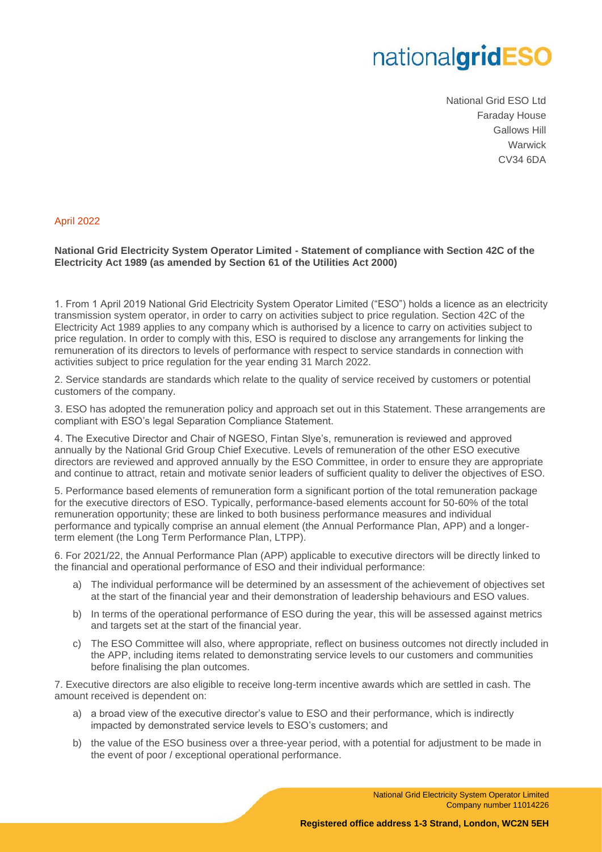## nationalgridESO

National Grid ESO Ltd Faraday House Gallows Hill **Warwick** CV34 6DA

## April 2022

## **National Grid Electricity System Operator Limited - Statement of compliance with Section 42C of the Electricity Act 1989 (as amended by Section 61 of the Utilities Act 2000)**

1. From 1 April 2019 National Grid Electricity System Operator Limited ("ESO") holds a licence as an electricity transmission system operator, in order to carry on activities subject to price regulation. Section 42C of the Electricity Act 1989 applies to any company which is authorised by a licence to carry on activities subject to price regulation. In order to comply with this, ESO is required to disclose any arrangements for linking the remuneration of its directors to levels of performance with respect to service standards in connection with activities subject to price regulation for the year ending 31 March 2022.

2. Service standards are standards which relate to the quality of service received by customers or potential customers of the company.

3. ESO has adopted the remuneration policy and approach set out in this Statement. These arrangements are compliant with ESO's legal Separation Compliance Statement.

4. The Executive Director and Chair of NGESO, Fintan Slye's, remuneration is reviewed and approved annually by the National Grid Group Chief Executive. Levels of remuneration of the other ESO executive directors are reviewed and approved annually by the ESO Committee, in order to ensure they are appropriate and continue to attract, retain and motivate senior leaders of sufficient quality to deliver the objectives of ESO.

5. Performance based elements of remuneration form a significant portion of the total remuneration package for the executive directors of ESO. Typically, performance-based elements account for 50-60% of the total remuneration opportunity; these are linked to both business performance measures and individual performance and typically comprise an annual element (the Annual Performance Plan, APP) and a longerterm element (the Long Term Performance Plan, LTPP).

6. For 2021/22, the Annual Performance Plan (APP) applicable to executive directors will be directly linked to the financial and operational performance of ESO and their individual performance:

- a) The individual performance will be determined by an assessment of the achievement of objectives set at the start of the financial year and their demonstration of leadership behaviours and ESO values.
- b) In terms of the operational performance of ESO during the year, this will be assessed against metrics and targets set at the start of the financial year.
- c) The ESO Committee will also, where appropriate, reflect on business outcomes not directly included in the APP, including items related to demonstrating service levels to our customers and communities before finalising the plan outcomes.

7. Executive directors are also eligible to receive long-term incentive awards which are settled in cash. The amount received is dependent on:

- a) a broad view of the executive director's value to ESO and their performance, which is indirectly impacted by demonstrated service levels to ESO's customers; and
- b) the value of the ESO business over a three-year period, with a potential for adjustment to be made in the event of poor / exceptional operational performance.

National Grid Electricity System Operator Limited Company number 11014226